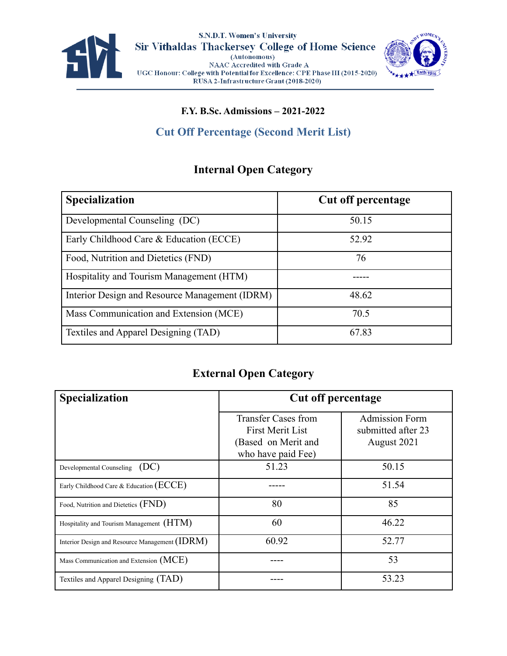



#### **F.Y. B.Sc. Admissions – 2021-2022**

## **Cut Off Percentage (Second Merit List)**

#### **Internal Open Category**

| <b>Specialization</b>                          | <b>Cut off percentage</b> |
|------------------------------------------------|---------------------------|
| Developmental Counseling (DC)                  | 50.15                     |
| Early Childhood Care & Education (ECCE)        | 52.92                     |
| Food, Nutrition and Dietetics (FND)            | 76                        |
| Hospitality and Tourism Management (HTM)       |                           |
| Interior Design and Resource Management (IDRM) | 48.62                     |
| Mass Communication and Extension (MCE)         | 70.5                      |
| Textiles and Apparel Designing (TAD)           | 67.83                     |

#### **External Open Category**

| <b>Specialization</b>                          | <b>Cut off percentage</b>                             |                                             |
|------------------------------------------------|-------------------------------------------------------|---------------------------------------------|
|                                                | <b>Transfer Cases from</b><br><b>First Merit List</b> | <b>Admission Form</b><br>submitted after 23 |
|                                                | (Based on Merit and<br>who have paid Fee)             | August 2021                                 |
| Developmental Counseling (DC)                  | 51.23                                                 | 50.15                                       |
| Early Childhood Care & Education (ECCE)        |                                                       | 51.54                                       |
| Food, Nutrition and Dietetics (FND)            | 80                                                    | 85                                          |
| Hospitality and Tourism Management (HTM)       | 60                                                    | 46.22                                       |
| Interior Design and Resource Management (IDRM) | 60.92                                                 | 52.77                                       |
| Mass Communication and Extension (MCE)         |                                                       | 53                                          |
| Textiles and Apparel Designing (TAD)           |                                                       | 53.23                                       |